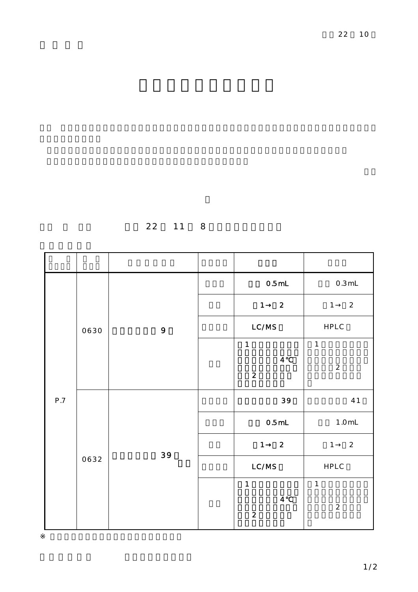22 11 8

| $\mathsf{P.7}$ | 0630 | 9  | 0.5mL                                              | $0.3 \, \mathrm{mL}$           |  |
|----------------|------|----|----------------------------------------------------|--------------------------------|--|
|                |      |    | $\mathbf{1}$<br>$\overline{2}$                     | $\mathbf{1}$<br>$\overline{a}$ |  |
|                |      |    | LC/MS                                              | ${\sf HPLC}$                   |  |
|                |      |    | $\mathbf{1}$                                       | $\mathbf{1}$                   |  |
|                |      |    | $\overline{\mathbf{4}}$<br>$\overline{2}$          | $\overline{2}$                 |  |
|                | 0632 | 39 | 39                                                 | 41                             |  |
|                |      |    | $0.5$ mL                                           | $1.0m$                         |  |
|                |      |    | $\mathbf{1}$<br>$\overline{2}$                     | $\mathbf{1}$<br>$\overline{a}$ |  |
|                |      |    | LC/MS                                              | HPLC                           |  |
|                |      |    | $\mathbf{1}$                                       | $\mathbf{1}$                   |  |
|                |      |    | $\overline{\mathbf{4}}$<br>$\overline{\mathbf{c}}$ | $\overline{c}$                 |  |